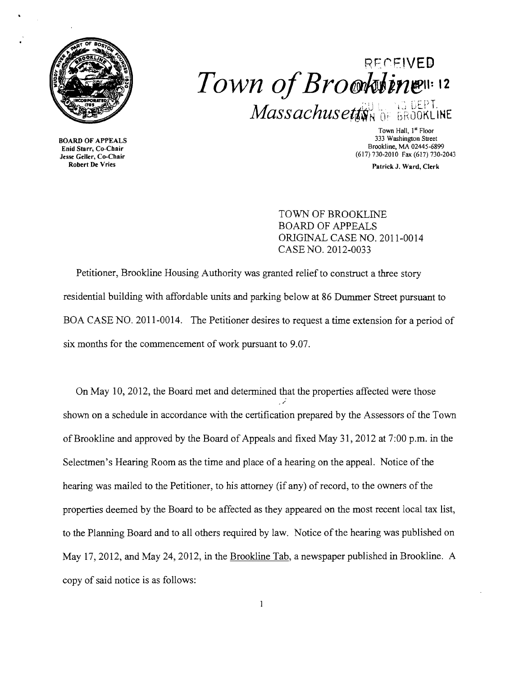

## R~ ('"' **F1VED**   $Town$  of Brooktings 12  $Massachusetd_{NN}$  of BROOKLINE

**3333 BOARD OF APPEALS**<br>Enid Starr, Co-Chair ma Start, Co-Chair<br>see Geller, Co-Chair<br>Robert De Vries

Town Hall, 1<sup>st</sup> Floor<br>333 Washington Street  $\frac{1}{2}$  Brookline, MA 02445-6899<br>
Enid Starr, Co-Chair<br>
Jesse Geller, Co-Chair

Patrick J. Ward, Clerk

TOWN OF BROOKLINE BOARD OF APPEALS ORIGINAL CASE NO. 2011-0014 CASE NO. 2012-0033

Petitioner, Brookline Housing Authority was granted relief to construct a three story residential building with affordable units and parking below at 86 Dummer Street pursuant to BOA CASE NO. 2011-0014. The Petitioner desires to request a time extension for a period of six months for the commencement of work pursuant to 9.07.

On May 10,2012, the Board met and detennined that the properties affected were those / shown on a schedule in accordance with the certification prepared by the Assessors of the Town ofBrookline and approved by the Board of Appeals and fixed May 31, 2012 at 7:00 p.m. in the Selectmen's Hearing Room as the time and place of a hearing on the appeal. Notice of the hearing was mailed to the Petitioner, to his attorney (if any) of record, to the owners of the properties deemed by the Board to be affected as they appeared on the most recent local tax list, to the Planning Board and to all others required by law. Notice of the hearing was published on May 17,2012, and May 24, 2012, in the Brookline Tab, a newspaper published in Brookline. A copy of said notice is as follows: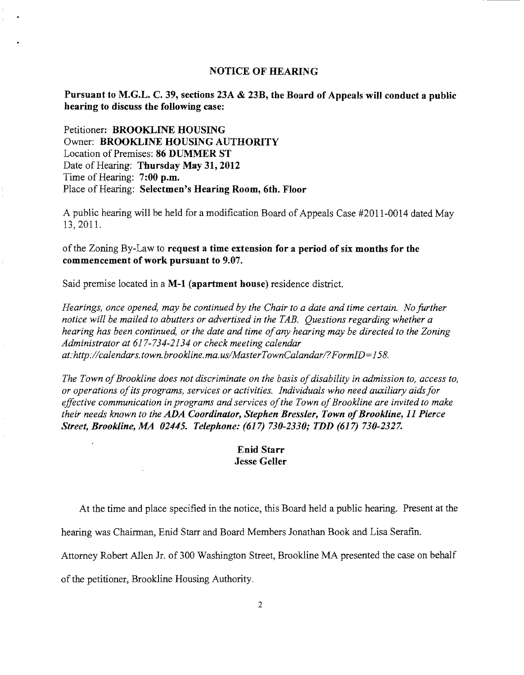## NOTICE OF HEARING

Pursuant to M.G.L. C. 39, sections 23A & 23B, the Board of Appeals will conduct a public hearing to discuss the following case:

Petitioner: BROOKLINE HOUSING Owner: BROOKLINE HOUSING AUTHORITY Location of Premises: 86 DUMMER ST Date of Hearing: Thursday May 31, 2012 Time of Hearing: 7:00 p.m. Place of Hearing: Selectmen's Hearing Room, 6th. Floor

A public hearing will be held for a modification Board of Appeals Case #2011-0014 dated May 13,2011.

## of the Zoning By-Law to request a time extension for a period of six months for the commencement of work pursuant to 9.07.

Said premise located in a M-l (apartment house) residence district.

*Hearings, once opened, may be continued by the Chair to a date and time certain. No further notice will be mailed to abutters or advertised in the TAB. Questions regarding whether a hearing has been continued, or the date and time ofany hearing may be directed to the Zoning Administrator at* 617-734-2134 *or check meeting calendar at:http://calendars.town.brookline.ma.usIMasterTownCalandarl?FormID=158.* 

The Town of Brookline does not discriminate on the basis of disability in admission to, access to, *or operations ofits programs, services or activities. Individuals who need auxiliary aids for*  effective communication in programs and services of the Town of Brookline are invited to make *their needs known to the ADA Coordinator, Stephen Bressler, Town of Brookline, 11 Pierce Street, Brookline, MA 02445. Telephone:* (617) *730-2330; TDD* (617) *730-2327.* 

## Enid Starr Jesse Geller

At the time and place specified in the notice, this Board held a public hearing. Present at the

hearing was Chairman, Enid Starr and Board Members Jonathan Book and Lisa Serafin.

Attorney Robert Allen Jr. of 300 Washington Street, Brookline MA presented the case on behalf

of the petitioner, Brookline Housing Authority.